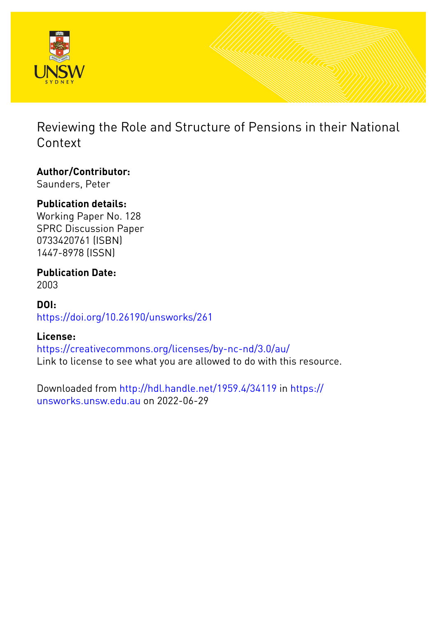

Reviewing the Role and Structure of Pensions in their National Context

## **Author/Contributor:**

Saunders, Peter

## **Publication details:**

Working Paper No. 128 SPRC Discussion Paper 0733420761 (ISBN) 1447-8978 (ISSN)

#### **Publication Date:** 2003

## **DOI:** [https://doi.org/10.26190/unsworks/261](http://dx.doi.org/https://doi.org/10.26190/unsworks/261)

## **License:**

<https://creativecommons.org/licenses/by-nc-nd/3.0/au/> Link to license to see what you are allowed to do with this resource.

Downloaded from <http://hdl.handle.net/1959.4/34119> in [https://](https://unsworks.unsw.edu.au) [unsworks.unsw.edu.au](https://unsworks.unsw.edu.au) on 2022-06-29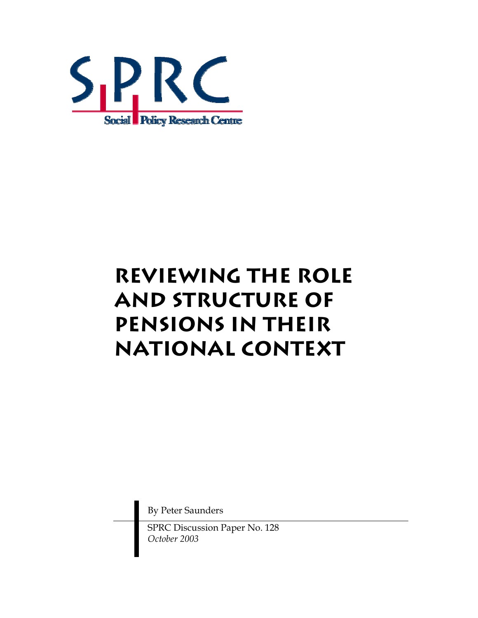

# **Reviewing the Role and Structure of Pensions in their National Context**

By Peter Saunders

SPRC Discussion Paper No. 128 *October 2003*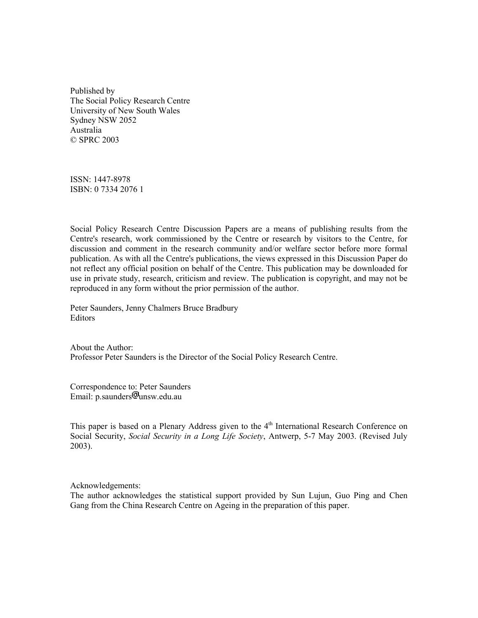Published by The Social Policy Research Centre University of New South Wales Sydney NSW 2052 Australia © SPRC 2003

ISSN: 1447-8978 ISBN: 0 7334 2076 1

Social Policy Research Centre Discussion Papers are a means of publishing results from the Centre's research, work commissioned by the Centre or research by visitors to the Centre, for discussion and comment in the research community and/or welfare sector before more formal publication. As with all the Centre's publications, the views expressed in this Discussion Paper do not reflect any official position on behalf of the Centre. This publication may be downloaded for use in private study, research, criticism and review. The publication is copyright, and may not be reproduced in any form without the prior permission of the author.

Peter Saunders, Jenny Chalmers Bruce Bradbury Editors

About the Author: Professor Peter Saunders is the Director of the Social Policy Research Centre.

Correspondence to: Peter Saunders Email: p.saunders<sup>[0]</sup>unsw.edu.au

This paper is based on a Plenary Address given to the  $4<sup>th</sup>$  International Research Conference on Social Security, *Social Security in a Long Life Society*, Antwerp, 5-7 May 2003. (Revised July 2003).

Acknowledgements:

The author acknowledges the statistical support provided by Sun Lujun, Guo Ping and Chen Gang from the China Research Centre on Ageing in the preparation of this paper.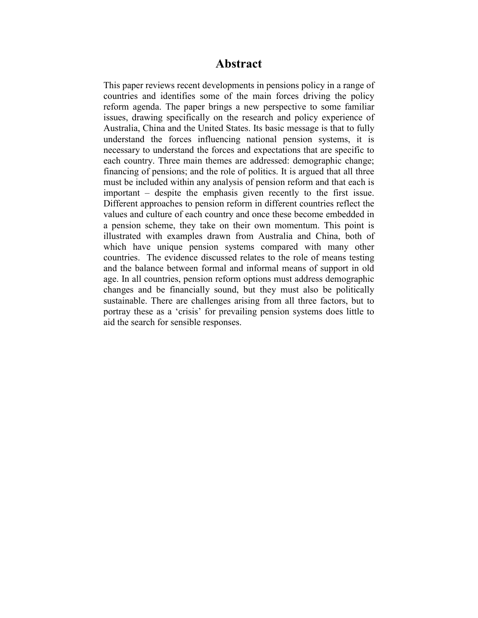#### **Abstract**

This paper reviews recent developments in pensions policy in a range of countries and identifies some of the main forces driving the policy reform agenda. The paper brings a new perspective to some familiar issues, drawing specifically on the research and policy experience of Australia, China and the United States. Its basic message is that to fully understand the forces influencing national pension systems, it is necessary to understand the forces and expectations that are specific to each country. Three main themes are addressed: demographic change; financing of pensions; and the role of politics. It is argued that all three must be included within any analysis of pension reform and that each is  $important - despite the emphasis given recently to the first issue.$ Different approaches to pension reform in different countries reflect the values and culture of each country and once these become embedded in a pension scheme, they take on their own momentum. This point is illustrated with examples drawn from Australia and China, both of which have unique pension systems compared with many other countries. The evidence discussed relates to the role of means testing and the balance between formal and informal means of support in old age. In all countries, pension reform options must address demographic changes and be financially sound, but they must also be politically sustainable. There are challenges arising from all three factors, but to portray these as a 'crisis' for prevailing pension systems does little to aid the search for sensible responses.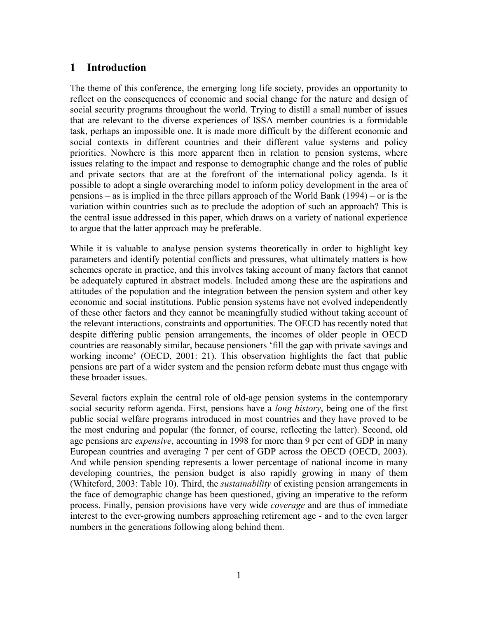#### **1 Introduction**

The theme of this conference, the emerging long life society, provides an opportunity to reflect on the consequences of economic and social change for the nature and design of social security programs throughout the world. Trying to distill a small number of issues that are relevant to the diverse experiences of ISSA member countries is a formidable task, perhaps an impossible one. It is made more difficult by the different economic and social contexts in different countries and their different value systems and policy priorities. Nowhere is this more apparent then in relation to pension systems, where issues relating to the impact and response to demographic change and the roles of public and private sectors that are at the forefront of the international policy agenda. Is it possible to adopt a single overarching model to inform policy development in the area of pensions – as is implied in the three pillars approach of the World Bank (1994) – or is the variation within countries such as to preclude the adoption of such an approach? This is the central issue addressed in this paper, which draws on a variety of national experience to argue that the latter approach may be preferable.

While it is valuable to analyse pension systems theoretically in order to highlight key parameters and identify potential conflicts and pressures, what ultimately matters is how schemes operate in practice, and this involves taking account of many factors that cannot be adequately captured in abstract models. Included among these are the aspirations and attitudes of the population and the integration between the pension system and other key economic and social institutions. Public pension systems have not evolved independently of these other factors and they cannot be meaningfully studied without taking account of the relevant interactions, constraints and opportunities. The OECD has recently noted that despite differing public pension arrangements, the incomes of older people in OECD countries are reasonably similar, because pensioners ëfill the gap with private savings and working income' (OECD, 2001: 21). This observation highlights the fact that public pensions are part of a wider system and the pension reform debate must thus engage with these broader issues.

Several factors explain the central role of old-age pension systems in the contemporary social security reform agenda. First, pensions have a *long history*, being one of the first public social welfare programs introduced in most countries and they have proved to be the most enduring and popular (the former, of course, reflecting the latter). Second, old age pensions are *expensive*, accounting in 1998 for more than 9 per cent of GDP in many European countries and averaging 7 per cent of GDP across the OECD (OECD, 2003). And while pension spending represents a lower percentage of national income in many developing countries, the pension budget is also rapidly growing in many of them (Whiteford, 2003: Table 10). Third, the *sustainability* of existing pension arrangements in the face of demographic change has been questioned, giving an imperative to the reform process. Finally, pension provisions have very wide *coverage* and are thus of immediate interest to the ever-growing numbers approaching retirement age - and to the even larger numbers in the generations following along behind them.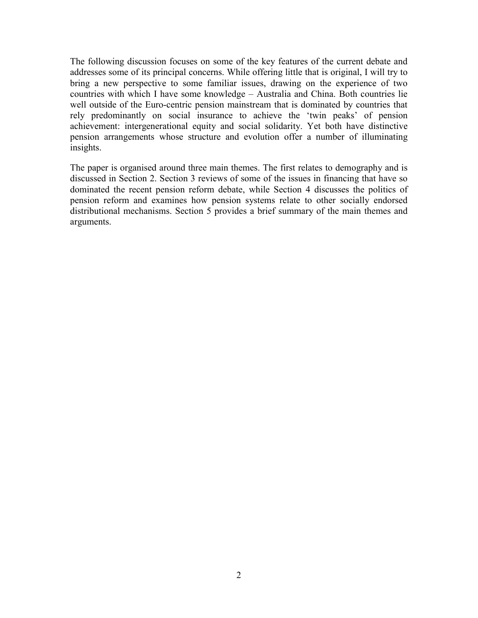The following discussion focuses on some of the key features of the current debate and addresses some of its principal concerns. While offering little that is original, I will try to bring a new perspective to some familiar issues, drawing on the experience of two countries with which I have some knowledge – Australia and China. Both countries lie well outside of the Euro-centric pension mainstream that is dominated by countries that rely predominantly on social insurance to achieve the 'twin peaks' of pension achievement: intergenerational equity and social solidarity. Yet both have distinctive pension arrangements whose structure and evolution offer a number of illuminating insights.

The paper is organised around three main themes. The first relates to demography and is discussed in Section 2. Section 3 reviews of some of the issues in financing that have so dominated the recent pension reform debate, while Section 4 discusses the politics of pension reform and examines how pension systems relate to other socially endorsed distributional mechanisms. Section 5 provides a brief summary of the main themes and arguments.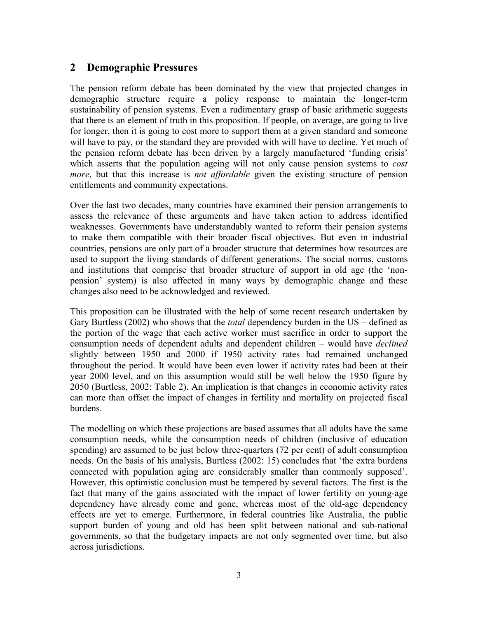#### **2 Demographic Pressures**

The pension reform debate has been dominated by the view that projected changes in demographic structure require a policy response to maintain the longer-term sustainability of pension systems. Even a rudimentary grasp of basic arithmetic suggests that there is an element of truth in this proposition. If people, on average, are going to live for longer, then it is going to cost more to support them at a given standard and someone will have to pay, or the standard they are provided with will have to decline. Yet much of the pension reform debate has been driven by a largely manufactured 'funding crisis' which asserts that the population ageing will not only cause pension systems to *cost more*, but that this increase is *not affordable* given the existing structure of pension entitlements and community expectations.

Over the last two decades, many countries have examined their pension arrangements to assess the relevance of these arguments and have taken action to address identified weaknesses. Governments have understandably wanted to reform their pension systems to make them compatible with their broader fiscal objectives. But even in industrial countries, pensions are only part of a broader structure that determines how resources are used to support the living standards of different generations. The social norms, customs and institutions that comprise that broader structure of support in old age (the 'nonpension' system) is also affected in many ways by demographic change and these changes also need to be acknowledged and reviewed.

This proposition can be illustrated with the help of some recent research undertaken by Gary Burtless (2002) who shows that the *total* dependency burden in the US – defined as the portion of the wage that each active worker must sacrifice in order to support the consumption needs of dependent adults and dependent children – would have *declined* slightly between 1950 and 2000 if 1950 activity rates had remained unchanged throughout the period. It would have been even lower if activity rates had been at their year 2000 level, and on this assumption would still be well below the 1950 figure by 2050 (Burtless, 2002: Table 2). An implication is that changes in economic activity rates can more than offset the impact of changes in fertility and mortality on projected fiscal burdens.

The modelling on which these projections are based assumes that all adults have the same consumption needs, while the consumption needs of children (inclusive of education spending) are assumed to be just below three-quarters (72 per cent) of adult consumption needs. On the basis of his analysis, Burtless (2002: 15) concludes that 'the extra burdens connected with population aging are considerably smaller than commonly supposedí. However, this optimistic conclusion must be tempered by several factors. The first is the fact that many of the gains associated with the impact of lower fertility on young-age dependency have already come and gone, whereas most of the old-age dependency effects are yet to emerge. Furthermore, in federal countries like Australia, the public support burden of young and old has been split between national and sub-national governments, so that the budgetary impacts are not only segmented over time, but also across jurisdictions.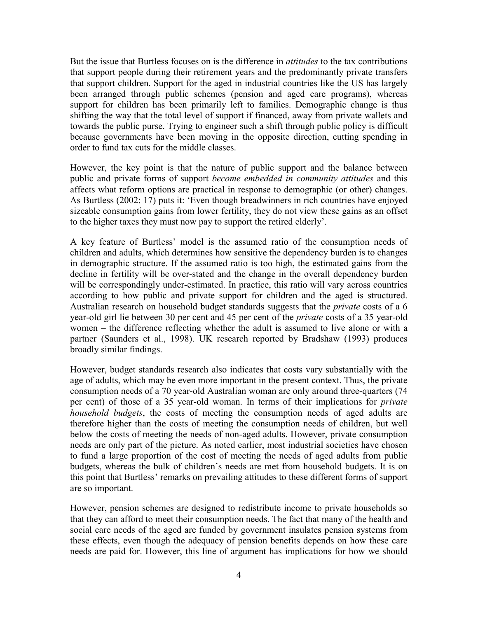But the issue that Burtless focuses on is the difference in *attitudes* to the tax contributions that support people during their retirement years and the predominantly private transfers that support children. Support for the aged in industrial countries like the US has largely been arranged through public schemes (pension and aged care programs), whereas support for children has been primarily left to families. Demographic change is thus shifting the way that the total level of support if financed, away from private wallets and towards the public purse. Trying to engineer such a shift through public policy is difficult because governments have been moving in the opposite direction, cutting spending in order to fund tax cuts for the middle classes.

However, the key point is that the nature of public support and the balance between public and private forms of support *become embedded in community attitudes* and this affects what reform options are practical in response to demographic (or other) changes. As Burtless (2002: 17) puts it: 'Even though breadwinners in rich countries have enjoyed sizeable consumption gains from lower fertility, they do not view these gains as an offset to the higher taxes they must now pay to support the retired elderly'.

A key feature of Burtlessí model is the assumed ratio of the consumption needs of children and adults, which determines how sensitive the dependency burden is to changes in demographic structure. If the assumed ratio is too high, the estimated gains from the decline in fertility will be over-stated and the change in the overall dependency burden will be correspondingly under-estimated. In practice, this ratio will vary across countries according to how public and private support for children and the aged is structured. Australian research on household budget standards suggests that the *private* costs of a 6 year-old girl lie between 30 per cent and 45 per cent of the *private* costs of a 35 year-old women  $-$  the difference reflecting whether the adult is assumed to live alone or with a partner (Saunders et al., 1998). UK research reported by Bradshaw (1993) produces broadly similar findings.

However, budget standards research also indicates that costs vary substantially with the age of adults, which may be even more important in the present context. Thus, the private consumption needs of a 70 year-old Australian woman are only around three-quarters (74 per cent) of those of a 35 year-old woman. In terms of their implications for *private household budgets*, the costs of meeting the consumption needs of aged adults are therefore higher than the costs of meeting the consumption needs of children, but well below the costs of meeting the needs of non-aged adults. However, private consumption needs are only part of the picture. As noted earlier, most industrial societies have chosen to fund a large proportion of the cost of meeting the needs of aged adults from public budgets, whereas the bulk of children's needs are met from household budgets. It is on this point that Burtless' remarks on prevailing attitudes to these different forms of support are so important.

However, pension schemes are designed to redistribute income to private households so that they can afford to meet their consumption needs. The fact that many of the health and social care needs of the aged are funded by government insulates pension systems from these effects, even though the adequacy of pension benefits depends on how these care needs are paid for. However, this line of argument has implications for how we should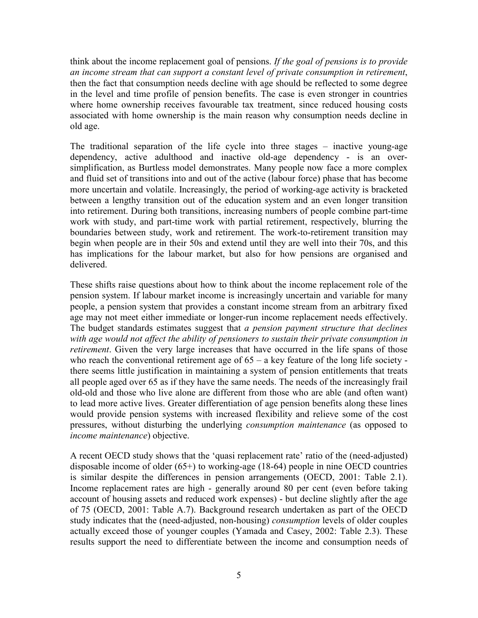think about the income replacement goal of pensions. *If the goal of pensions is to provide an income stream that can support a constant level of private consumption in retirement*, then the fact that consumption needs decline with age should be reflected to some degree in the level and time profile of pension benefits. The case is even stronger in countries where home ownership receives favourable tax treatment, since reduced housing costs associated with home ownership is the main reason why consumption needs decline in old age.

The traditional separation of the life cycle into three stages  $-$  inactive young-age dependency, active adulthood and inactive old-age dependency - is an oversimplification, as Burtless model demonstrates. Many people now face a more complex and fluid set of transitions into and out of the active (labour force) phase that has become more uncertain and volatile. Increasingly, the period of working-age activity is bracketed between a lengthy transition out of the education system and an even longer transition into retirement. During both transitions, increasing numbers of people combine part-time work with study, and part-time work with partial retirement, respectively, blurring the boundaries between study, work and retirement. The work-to-retirement transition may begin when people are in their 50s and extend until they are well into their 70s, and this has implications for the labour market, but also for how pensions are organised and delivered.

These shifts raise questions about how to think about the income replacement role of the pension system. If labour market income is increasingly uncertain and variable for many people, a pension system that provides a constant income stream from an arbitrary fixed age may not meet either immediate or longer-run income replacement needs effectively. The budget standards estimates suggest that *a pension payment structure that declines with age would not affect the ability of pensioners to sustain their private consumption in retirement*. Given the very large increases that have occurred in the life spans of those who reach the conventional retirement age of  $65 - a$  key feature of the long life society there seems little justification in maintaining a system of pension entitlements that treats all people aged over 65 as if they have the same needs. The needs of the increasingly frail old-old and those who live alone are different from those who are able (and often want) to lead more active lives. Greater differentiation of age pension benefits along these lines would provide pension systems with increased flexibility and relieve some of the cost pressures, without disturbing the underlying *consumption maintenance* (as opposed to *income maintenance*) objective.

A recent OECD study shows that the 'quasi replacement rate' ratio of the (need-adjusted) disposable income of older (65+) to working-age (18-64) people in nine OECD countries is similar despite the differences in pension arrangements (OECD, 2001: Table 2.1). Income replacement rates are high - generally around 80 per cent (even before taking account of housing assets and reduced work expenses) - but decline slightly after the age of 75 (OECD, 2001: Table A.7). Background research undertaken as part of the OECD study indicates that the (need-adjusted, non-housing) *consumption* levels of older couples actually exceed those of younger couples (Yamada and Casey, 2002: Table 2.3). These results support the need to differentiate between the income and consumption needs of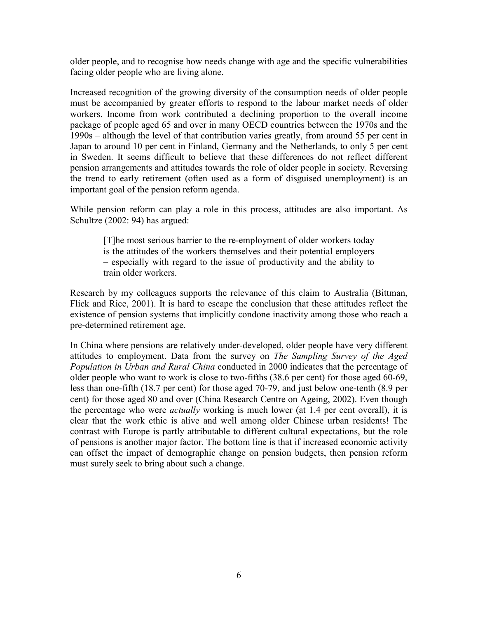older people, and to recognise how needs change with age and the specific vulnerabilities facing older people who are living alone.

Increased recognition of the growing diversity of the consumption needs of older people must be accompanied by greater efforts to respond to the labour market needs of older workers. Income from work contributed a declining proportion to the overall income package of people aged 65 and over in many OECD countries between the 1970s and the  $1990s$  – although the level of that contribution varies greatly, from around 55 per cent in Japan to around 10 per cent in Finland, Germany and the Netherlands, to only 5 per cent in Sweden. It seems difficult to believe that these differences do not reflect different pension arrangements and attitudes towards the role of older people in society. Reversing the trend to early retirement (often used as a form of disguised unemployment) is an important goal of the pension reform agenda.

While pension reform can play a role in this process, attitudes are also important. As Schultze (2002: 94) has argued:

[T]he most serious barrier to the re-employment of older workers today is the attitudes of the workers themselves and their potential employers – especially with regard to the issue of productivity and the ability to train older workers.

Research by my colleagues supports the relevance of this claim to Australia (Bittman, Flick and Rice, 2001). It is hard to escape the conclusion that these attitudes reflect the existence of pension systems that implicitly condone inactivity among those who reach a pre-determined retirement age.

In China where pensions are relatively under-developed, older people have very different attitudes to employment. Data from the survey on *The Sampling Survey of the Aged Population in Urban and Rural China* conducted in 2000 indicates that the percentage of older people who want to work is close to two-fifths (38.6 per cent) for those aged 60-69, less than one-fifth (18.7 per cent) for those aged 70-79, and just below one-tenth (8.9 per cent) for those aged 80 and over (China Research Centre on Ageing, 2002). Even though the percentage who were *actually* working is much lower (at 1.4 per cent overall), it is clear that the work ethic is alive and well among older Chinese urban residents! The contrast with Europe is partly attributable to different cultural expectations, but the role of pensions is another major factor. The bottom line is that if increased economic activity can offset the impact of demographic change on pension budgets, then pension reform must surely seek to bring about such a change.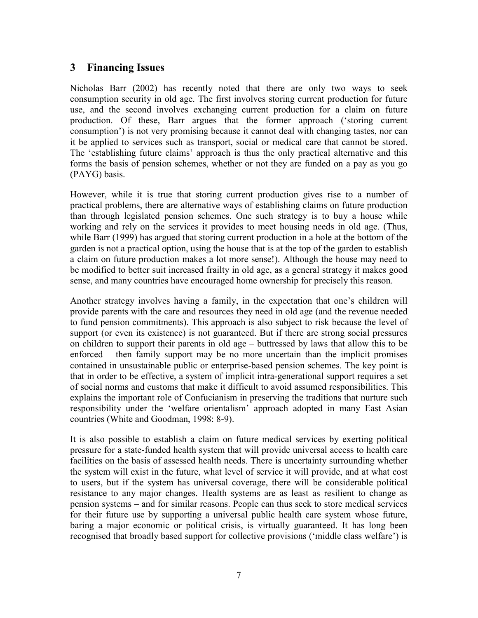#### **3 Financing Issues**

Nicholas Barr (2002) has recently noted that there are only two ways to seek consumption security in old age. The first involves storing current production for future use, and the second involves exchanging current production for a claim on future production. Of these, Barr argues that the former approach (ëstoring current consumption<sup>'</sup>) is not very promising because it cannot deal with changing tastes, nor can it be applied to services such as transport, social or medical care that cannot be stored. The 'establishing future claims' approach is thus the only practical alternative and this forms the basis of pension schemes, whether or not they are funded on a pay as you go (PAYG) basis.

However, while it is true that storing current production gives rise to a number of practical problems, there are alternative ways of establishing claims on future production than through legislated pension schemes. One such strategy is to buy a house while working and rely on the services it provides to meet housing needs in old age. (Thus, while Barr (1999) has argued that storing current production in a hole at the bottom of the garden is not a practical option, using the house that is at the top of the garden to establish a claim on future production makes a lot more sense!). Although the house may need to be modified to better suit increased frailty in old age, as a general strategy it makes good sense, and many countries have encouraged home ownership for precisely this reason.

Another strategy involves having a family, in the expectation that one's children will provide parents with the care and resources they need in old age (and the revenue needed to fund pension commitments). This approach is also subject to risk because the level of support (or even its existence) is not guaranteed. But if there are strong social pressures on children to support their parents in old age  $-$  buttressed by laws that allow this to be enforced  $-$  then family support may be no more uncertain than the implicit promises contained in unsustainable public or enterprise-based pension schemes. The key point is that in order to be effective, a system of implicit intra-generational support requires a set of social norms and customs that make it difficult to avoid assumed responsibilities. This explains the important role of Confucianism in preserving the traditions that nurture such responsibility under the 'welfare orientalism' approach adopted in many East Asian countries (White and Goodman, 1998: 8-9).

It is also possible to establish a claim on future medical services by exerting political pressure for a state-funded health system that will provide universal access to health care facilities on the basis of assessed health needs. There is uncertainty surrounding whether the system will exist in the future, what level of service it will provide, and at what cost to users, but if the system has universal coverage, there will be considerable political resistance to any major changes. Health systems are as least as resilient to change as pension systems – and for similar reasons. People can thus seek to store medical services for their future use by supporting a universal public health care system whose future, baring a major economic or political crisis, is virtually guaranteed. It has long been recognised that broadly based support for collective provisions ('middle class welfare') is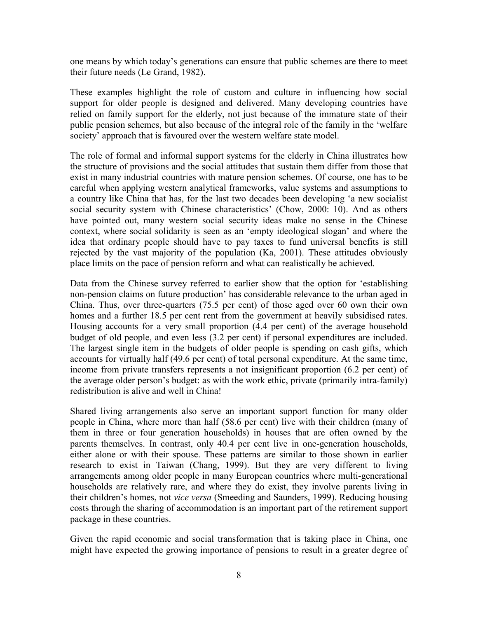one means by which todayís generations can ensure that public schemes are there to meet their future needs (Le Grand, 1982).

These examples highlight the role of custom and culture in influencing how social support for older people is designed and delivered. Many developing countries have relied on family support for the elderly, not just because of the immature state of their public pension schemes, but also because of the integral role of the family in the 'welfare' society' approach that is favoured over the western welfare state model.

The role of formal and informal support systems for the elderly in China illustrates how the structure of provisions and the social attitudes that sustain them differ from those that exist in many industrial countries with mature pension schemes. Of course, one has to be careful when applying western analytical frameworks, value systems and assumptions to a country like China that has, for the last two decades been developing ëa new socialist social security system with Chinese characteristics' (Chow, 2000: 10). And as others have pointed out, many western social security ideas make no sense in the Chinese context, where social solidarity is seen as an 'empty ideological slogan' and where the idea that ordinary people should have to pay taxes to fund universal benefits is still rejected by the vast majority of the population (Ka, 2001). These attitudes obviously place limits on the pace of pension reform and what can realistically be achieved.

Data from the Chinese survey referred to earlier show that the option for 'establishing non-pension claims on future production' has considerable relevance to the urban aged in China. Thus, over three-quarters (75.5 per cent) of those aged over 60 own their own homes and a further 18.5 per cent rent from the government at heavily subsidised rates. Housing accounts for a very small proportion (4.4 per cent) of the average household budget of old people, and even less (3.2 per cent) if personal expenditures are included. The largest single item in the budgets of older people is spending on cash gifts, which accounts for virtually half (49.6 per cent) of total personal expenditure. At the same time, income from private transfers represents a not insignificant proportion (6.2 per cent) of the average older person's budget: as with the work ethic, private (primarily intra-family) redistribution is alive and well in China!

Shared living arrangements also serve an important support function for many older people in China, where more than half (58.6 per cent) live with their children (many of them in three or four generation households) in houses that are often owned by the parents themselves. In contrast, only 40.4 per cent live in one-generation households, either alone or with their spouse. These patterns are similar to those shown in earlier research to exist in Taiwan (Chang, 1999). But they are very different to living arrangements among older people in many European countries where multi-generational households are relatively rare, and where they do exist, they involve parents living in their children's homes, not *vice versa* (Smeeding and Saunders, 1999). Reducing housing costs through the sharing of accommodation is an important part of the retirement support package in these countries.

Given the rapid economic and social transformation that is taking place in China, one might have expected the growing importance of pensions to result in a greater degree of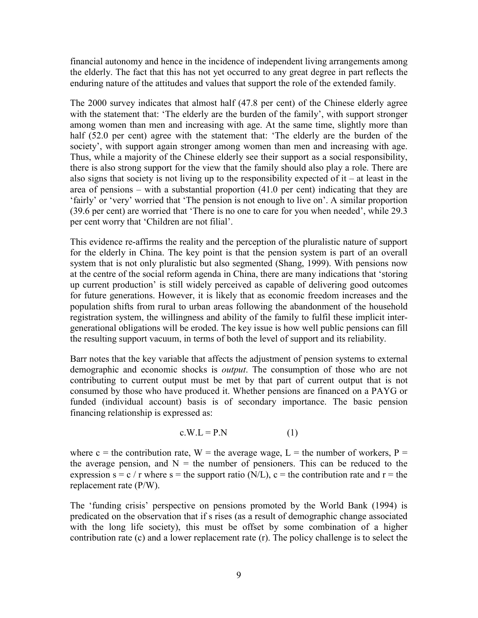financial autonomy and hence in the incidence of independent living arrangements among the elderly. The fact that this has not yet occurred to any great degree in part reflects the enduring nature of the attitudes and values that support the role of the extended family.

The 2000 survey indicates that almost half (47.8 per cent) of the Chinese elderly agree with the statement that: 'The elderly are the burden of the family', with support stronger among women than men and increasing with age. At the same time, slightly more than half (52.0 per cent) agree with the statement that: 'The elderly are the burden of the society', with support again stronger among women than men and increasing with age. Thus, while a majority of the Chinese elderly see their support as a social responsibility, there is also strong support for the view that the family should also play a role. There are also signs that society is not living up to the responsibility expected of it  $-$  at least in the area of pensions – with a substantial proportion  $(41.0 \text{ per cent})$  indicating that they are 'fairly' or 'very' worried that 'The pension is not enough to live on'. A similar proportion  $(39.6 \text{ per cent})$  are worried that 'There is no one to care for you when needed', while  $29.3$ per cent worry that 'Children are not filial'.

This evidence re-affirms the reality and the perception of the pluralistic nature of support for the elderly in China. The key point is that the pension system is part of an overall system that is not only pluralistic but also segmented (Shang, 1999). With pensions now at the centre of the social reform agenda in China, there are many indications that 'storing up current production' is still widely perceived as capable of delivering good outcomes for future generations. However, it is likely that as economic freedom increases and the population shifts from rural to urban areas following the abandonment of the household registration system, the willingness and ability of the family to fulfil these implicit intergenerational obligations will be eroded. The key issue is how well public pensions can fill the resulting support vacuum, in terms of both the level of support and its reliability.

Barr notes that the key variable that affects the adjustment of pension systems to external demographic and economic shocks is *output*. The consumption of those who are not contributing to current output must be met by that part of current output that is not consumed by those who have produced it. Whether pensions are financed on a PAYG or funded (individual account) basis is of secondary importance. The basic pension financing relationship is expressed as:

$$
c.W.L = P.N
$$
 (1)

where c = the contribution rate,  $W =$  the average wage,  $L =$  the number of workers,  $P =$ the average pension, and  $N =$  the number of pensioners. This can be reduced to the expression  $s = c / r$  where  $s = the$  support ratio (N/L),  $c = the$  contribution rate and  $r = the$ replacement rate (P/W).

The 'funding crisis' perspective on pensions promoted by the World Bank (1994) is predicated on the observation that if s rises (as a result of demographic change associated with the long life society), this must be offset by some combination of a higher contribution rate (c) and a lower replacement rate (r). The policy challenge is to select the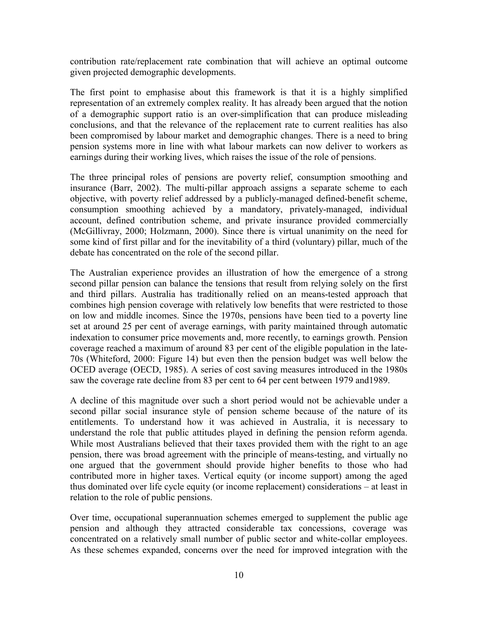contribution rate/replacement rate combination that will achieve an optimal outcome given projected demographic developments.

The first point to emphasise about this framework is that it is a highly simplified representation of an extremely complex reality. It has already been argued that the notion of a demographic support ratio is an over-simplification that can produce misleading conclusions, and that the relevance of the replacement rate to current realities has also been compromised by labour market and demographic changes. There is a need to bring pension systems more in line with what labour markets can now deliver to workers as earnings during their working lives, which raises the issue of the role of pensions.

The three principal roles of pensions are poverty relief, consumption smoothing and insurance (Barr, 2002). The multi-pillar approach assigns a separate scheme to each objective, with poverty relief addressed by a publicly-managed defined-benefit scheme, consumption smoothing achieved by a mandatory, privately-managed, individual account, defined contribution scheme, and private insurance provided commercially (McGillivray, 2000; Holzmann, 2000). Since there is virtual unanimity on the need for some kind of first pillar and for the inevitability of a third (voluntary) pillar, much of the debate has concentrated on the role of the second pillar.

The Australian experience provides an illustration of how the emergence of a strong second pillar pension can balance the tensions that result from relying solely on the first and third pillars. Australia has traditionally relied on an means-tested approach that combines high pension coverage with relatively low benefits that were restricted to those on low and middle incomes. Since the 1970s, pensions have been tied to a poverty line set at around 25 per cent of average earnings, with parity maintained through automatic indexation to consumer price movements and, more recently, to earnings growth. Pension coverage reached a maximum of around 83 per cent of the eligible population in the late-70s (Whiteford, 2000: Figure 14) but even then the pension budget was well below the OCED average (OECD, 1985). A series of cost saving measures introduced in the 1980s saw the coverage rate decline from 83 per cent to 64 per cent between 1979 and1989.

A decline of this magnitude over such a short period would not be achievable under a second pillar social insurance style of pension scheme because of the nature of its entitlements. To understand how it was achieved in Australia, it is necessary to understand the role that public attitudes played in defining the pension reform agenda. While most Australians believed that their taxes provided them with the right to an age pension, there was broad agreement with the principle of means-testing, and virtually no one argued that the government should provide higher benefits to those who had contributed more in higher taxes. Vertical equity (or income support) among the aged thus dominated over life cycle equity (or income replacement) considerations  $-$  at least in relation to the role of public pensions.

Over time, occupational superannuation schemes emerged to supplement the public age pension and although they attracted considerable tax concessions, coverage was concentrated on a relatively small number of public sector and white-collar employees. As these schemes expanded, concerns over the need for improved integration with the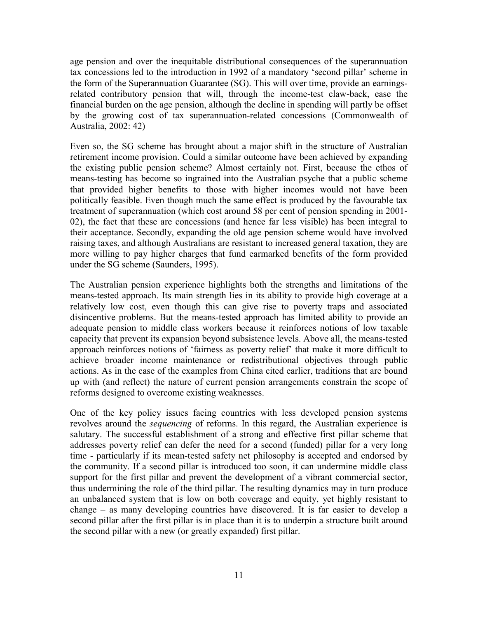age pension and over the inequitable distributional consequences of the superannuation tax concessions led to the introduction in 1992 of a mandatory 'second pillar' scheme in the form of the Superannuation Guarantee (SG). This will over time, provide an earningsrelated contributory pension that will, through the income-test claw-back, ease the financial burden on the age pension, although the decline in spending will partly be offset by the growing cost of tax superannuation-related concessions (Commonwealth of Australia, 2002: 42)

Even so, the SG scheme has brought about a major shift in the structure of Australian retirement income provision. Could a similar outcome have been achieved by expanding the existing public pension scheme? Almost certainly not. First, because the ethos of means-testing has become so ingrained into the Australian psyche that a public scheme that provided higher benefits to those with higher incomes would not have been politically feasible. Even though much the same effect is produced by the favourable tax treatment of superannuation (which cost around 58 per cent of pension spending in 2001- 02), the fact that these are concessions (and hence far less visible) has been integral to their acceptance. Secondly, expanding the old age pension scheme would have involved raising taxes, and although Australians are resistant to increased general taxation, they are more willing to pay higher charges that fund earmarked benefits of the form provided under the SG scheme (Saunders, 1995).

The Australian pension experience highlights both the strengths and limitations of the means-tested approach. Its main strength lies in its ability to provide high coverage at a relatively low cost, even though this can give rise to poverty traps and associated disincentive problems. But the means-tested approach has limited ability to provide an adequate pension to middle class workers because it reinforces notions of low taxable capacity that prevent its expansion beyond subsistence levels. Above all, the means-tested approach reinforces notions of 'fairness as poverty relief' that make it more difficult to achieve broader income maintenance or redistributional objectives through public actions. As in the case of the examples from China cited earlier, traditions that are bound up with (and reflect) the nature of current pension arrangements constrain the scope of reforms designed to overcome existing weaknesses.

One of the key policy issues facing countries with less developed pension systems revolves around the *sequencing* of reforms. In this regard, the Australian experience is salutary. The successful establishment of a strong and effective first pillar scheme that addresses poverty relief can defer the need for a second (funded) pillar for a very long time - particularly if its mean-tested safety net philosophy is accepted and endorsed by the community. If a second pillar is introduced too soon, it can undermine middle class support for the first pillar and prevent the development of a vibrant commercial sector, thus undermining the role of the third pillar. The resulting dynamics may in turn produce an unbalanced system that is low on both coverage and equity, yet highly resistant to change  $-$  as many developing countries have discovered. It is far easier to develop a second pillar after the first pillar is in place than it is to underpin a structure built around the second pillar with a new (or greatly expanded) first pillar.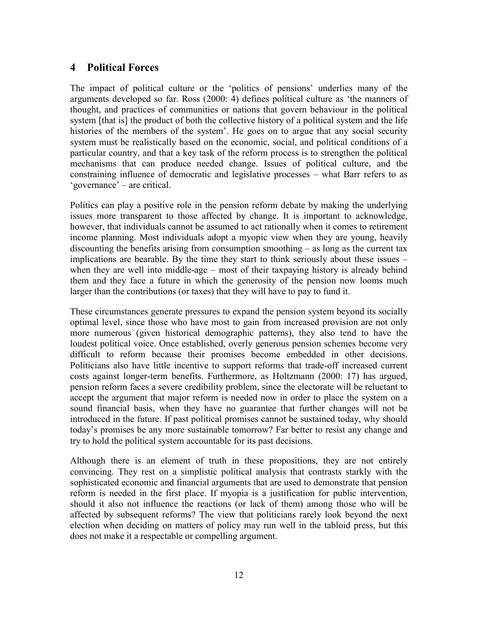#### **4 Political Forces**

The impact of political culture or the 'politics of pensions' underlies many of the arguments developed so far. Ross (2000: 4) defines political culture as ëthe manners of thought, and practices of communities or nations that govern behaviour in the political system [that is] the product of both the collective history of a political system and the life histories of the members of the system<sup>3</sup>. He goes on to argue that any social security system must be realistically based on the economic, social, and political conditions of a particular country, and that a key task of the reform process is to strengthen the political mechanisms that can produce needed change. Issues of political culture, and the constraining influence of democratic and legislative processes  $-$  what Barr refers to as  $igoverance'$  – are critical.

Politics can play a positive role in the pension reform debate by making the underlying issues more transparent to those affected by change. It is important to acknowledge, however, that individuals cannot be assumed to act rationally when it comes to retirement income planning. Most individuals adopt a myopic view when they are young, heavily discounting the benefits arising from consumption smoothing  $-$  as long as the current tax implications are bearable. By the time they start to think seriously about these issues  $$ when they are well into middle-age  $-$  most of their taxpaying history is already behind them and they face a future in which the generosity of the pension now looms much larger than the contributions (or taxes) that they will have to pay to fund it.

These circumstances generate pressures to expand the pension system beyond its socially optimal level, since those who have most to gain from increased provision are not only more numerous (given historical demographic patterns), they also tend to have the loudest political voice. Once established, overly generous pension schemes become very difficult to reform because their promises become embedded in other decisions. Politicians also have little incentive to support reforms that trade-off increased current costs against longer-term benefits. Furthermore, as Holtzmann (2000: 17) has argued, pension reform faces a severe credibility problem, since the electorate will be reluctant to accept the argument that major reform is needed now in order to place the system on a sound financial basis, when they have no guarantee that further changes will not be introduced in the future. If past political promises cannot be sustained today, why should todayís promises be any more sustainable tomorrow? Far better to resist any change and try to hold the political system accountable for its past decisions.

Although there is an element of truth in these propositions, they are not entirely convincing. They rest on a simplistic political analysis that contrasts starkly with the sophisticated economic and financial arguments that are used to demonstrate that pension reform is needed in the first place. If myopia is a justification for public intervention, should it also not influence the reactions (or lack of them) among those who will be affected by subsequent reforms? The view that politicians rarely look beyond the next election when deciding on matters of policy may run well in the tabloid press, but this does not make it a respectable or compelling argument.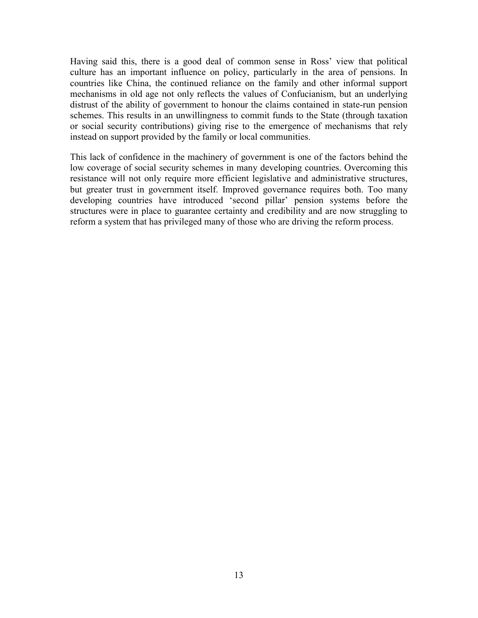Having said this, there is a good deal of common sense in Ross' view that political culture has an important influence on policy, particularly in the area of pensions. In countries like China, the continued reliance on the family and other informal support mechanisms in old age not only reflects the values of Confucianism, but an underlying distrust of the ability of government to honour the claims contained in state-run pension schemes. This results in an unwillingness to commit funds to the State (through taxation or social security contributions) giving rise to the emergence of mechanisms that rely instead on support provided by the family or local communities.

This lack of confidence in the machinery of government is one of the factors behind the low coverage of social security schemes in many developing countries. Overcoming this resistance will not only require more efficient legislative and administrative structures, but greater trust in government itself. Improved governance requires both. Too many developing countries have introduced 'second pillar' pension systems before the structures were in place to guarantee certainty and credibility and are now struggling to reform a system that has privileged many of those who are driving the reform process.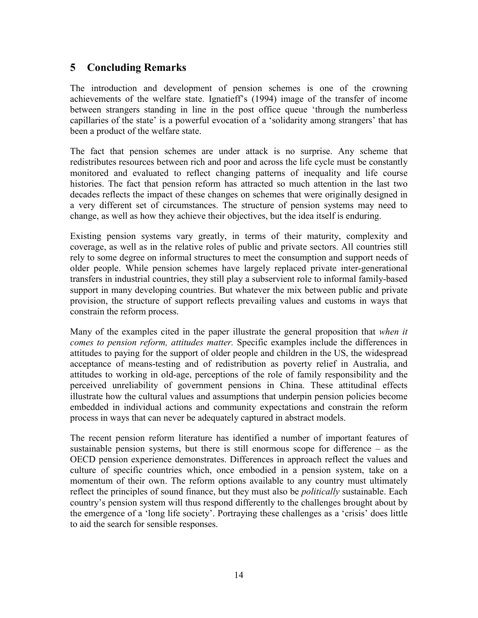### **5 Concluding Remarks**

The introduction and development of pension schemes is one of the crowning achievements of the welfare state. Ignatieff's (1994) image of the transfer of income between strangers standing in line in the post office queue 'through the numberless capillaries of the state' is a powerful evocation of a 'solidarity among strangers' that has been a product of the welfare state.

The fact that pension schemes are under attack is no surprise. Any scheme that redistributes resources between rich and poor and across the life cycle must be constantly monitored and evaluated to reflect changing patterns of inequality and life course histories. The fact that pension reform has attracted so much attention in the last two decades reflects the impact of these changes on schemes that were originally designed in a very different set of circumstances. The structure of pension systems may need to change, as well as how they achieve their objectives, but the idea itself is enduring.

Existing pension systems vary greatly, in terms of their maturity, complexity and coverage, as well as in the relative roles of public and private sectors. All countries still rely to some degree on informal structures to meet the consumption and support needs of older people. While pension schemes have largely replaced private inter-generational transfers in industrial countries, they still play a subservient role to informal family-based support in many developing countries. But whatever the mix between public and private provision, the structure of support reflects prevailing values and customs in ways that constrain the reform process.

Many of the examples cited in the paper illustrate the general proposition that *when it comes to pension reform, attitudes matter.* Specific examples include the differences in attitudes to paying for the support of older people and children in the US, the widespread acceptance of means-testing and of redistribution as poverty relief in Australia, and attitudes to working in old-age, perceptions of the role of family responsibility and the perceived unreliability of government pensions in China. These attitudinal effects illustrate how the cultural values and assumptions that underpin pension policies become embedded in individual actions and community expectations and constrain the reform process in ways that can never be adequately captured in abstract models.

The recent pension reform literature has identified a number of important features of sustainable pension systems, but there is still enormous scope for difference  $-$  as the OECD pension experience demonstrates. Differences in approach reflect the values and culture of specific countries which, once embodied in a pension system, take on a momentum of their own. The reform options available to any country must ultimately reflect the principles of sound finance, but they must also be *politically* sustainable. Each country's pension system will thus respond differently to the challenges brought about by the emergence of a 'long life society'. Portraying these challenges as a 'crisis' does little to aid the search for sensible responses.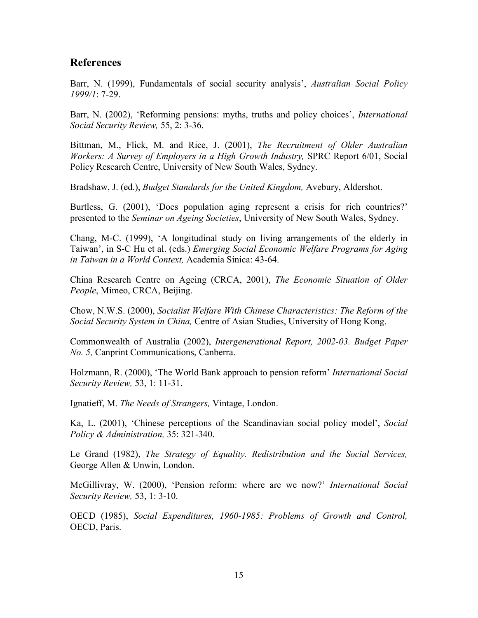#### **References**

Barr, N. (1999), Fundamentals of social security analysis', *Australian Social Policy 1999/1*: 7-29.

Barr, N. (2002), 'Reforming pensions: myths, truths and policy choices', *International Social Security Review,* 55, 2: 3-36.

Bittman, M., Flick, M. and Rice, J. (2001), *The Recruitment of Older Australian Workers: A Survey of Employers in a High Growth Industry,* SPRC Report 6/01, Social Policy Research Centre, University of New South Wales, Sydney.

Bradshaw, J. (ed.), *Budget Standards for the United Kingdom,* Avebury, Aldershot.

Burtless, G. (2001), 'Does population aging represent a crisis for rich countries?' presented to the *Seminar on Ageing Societies*, University of New South Wales, Sydney.

Chang, M-C. (1999), ëA longitudinal study on living arrangements of the elderly in Taiwan', in S-C Hu et al. (eds.) *Emerging Social Economic Welfare Programs for Aging in Taiwan in a World Context,* Academia Sinica: 43-64.

China Research Centre on Ageing (CRCA, 2001), *The Economic Situation of Older People*, Mimeo, CRCA, Beijing.

Chow, N.W.S. (2000), *Socialist Welfare With Chinese Characteristics: The Reform of the Social Security System in China,* Centre of Asian Studies, University of Hong Kong.

Commonwealth of Australia (2002), *Intergenerational Report, 2002-03. Budget Paper No. 5,* Canprint Communications, Canberra.

Holzmann, R. (2000), 'The World Bank approach to pension reform' *International Social Security Review,* 53, 1: 11-31.

Ignatieff, M. *The Needs of Strangers,* Vintage, London.

Ka, L. (2001), 'Chinese perceptions of the Scandinavian social policy model', *Social Policy & Administration,* 35: 321-340.

Le Grand (1982), *The Strategy of Equality. Redistribution and the Social Services,*  George Allen & Unwin, London.

McGillivray, W. (2000), 'Pension reform: where are we now?' *International Social Security Review,* 53, 1: 3-10.

OECD (1985), *Social Expenditures, 1960-1985: Problems of Growth and Control,*  OECD, Paris.